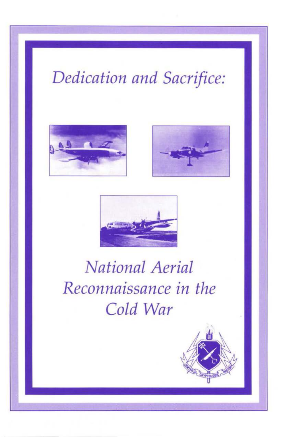# *Dedication and Sacrifice:*







# *National Aerial Reconnaissance in the Cold War*

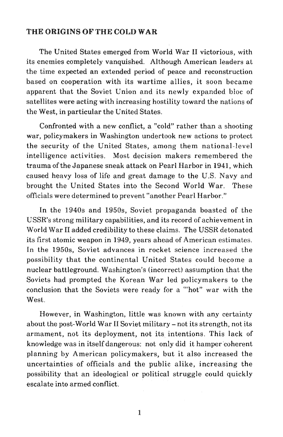## THE ORIGINS OF THE COLD WAR

The United States emerged from World War II victorious, with its enemies completely vanquished. Although American leaders at the time expected an extended period of peace and reconstruction based on cooperation with its wartime allies, it soon became apparent that the Soviet Union and its newly expanded bloc of satellites were acting with increasing hostility toward the nations of the West, in particular the United States.

Confronted with a new conflict, a "cold" rather than a shooting war, policymakers in Washington undertook new actions to protect the security of the United States, among them national-level intelligence activities. Most decision makers remembered the trauma of the Japanese sneak attack on Pearl Harbor in 1941, which caused heavy loss of life and great damage to the U.S. Navy and brought the United States into the Second World War. These officials were determined to prevent "another Pearl Harbor."

In the 1940s and 1950s, Soviet propaganda boasted of the USSR's strong military capabilities, and its record of achievement in World War II added credibility to these claims. The USSR detonated its first atomic weapon in 1949, years ahead of American estimates. In the 1950s, Soviet advances in rocket science increased the possibility that the continental United States could become a nuclear battleground. Washington's (incorrect) assumption that the Soviets had prompted the Korean War led policymakers to the conclusion that the Soviets were ready for a "'hot" war with the West.

However, in Washington, little was known with any certainty about the post-World War II Soviet military - not its strength, not its armament, not its deployment, not its intentions. This lack of knowledge was in itself dangerous: not only did it hamper coherent planning by American policymakers, but it also increased the uncertainties of officials and the public alike, increasing the possibility that an ideological or political struggle could quickly escalate into armed conflict.

1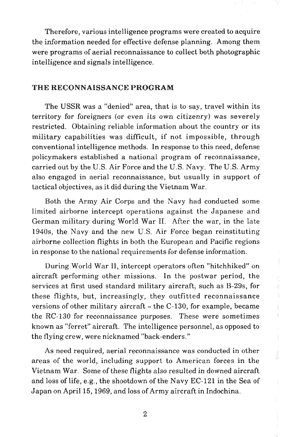Therefore, various intelligence programs were created to acquire the information needed for effective defense planning. Among them were programs of aerial reconnaissance to collect both photographic intelligence and signals intelligence.

# THE RECONNAISSANCE PROGRAM

The USSR was a "denied" area, that is to say, travel within its territory for foreigners (or even its own citizenry) was severely restricted. Obtaining reliable information about the country or its military capabilities was difficult, if not impossible, through conventional intelligence methods. In response to this need, defense policymakers established a national program of reconnaissance, carried out by the U.S. Air Force and the U.S. Navy. The U.S. Army also engaged in aerial reconnaissance, but usually in support of tactical objectives, as it did during the Vietnam War.

Both the Army Air Corps and the Navy had conducted some limited airborne intercept operations against the Japanese and German military during World War IL After the war, in the late 1940s, the Navy and the new U.S. Air Force began reinstituting airborne collection flights in both the European and Pacific regions in response to the national requirements for defense information.

During World War II, intercept operators often "hitchhiked" on aircraft performing other missions. In the postwar period, the services at first used standard military aircraft, such as B-29s, for these flights, but, increasingly, they outfitted reconnaissance versions of other military aircraft - the C-130, for example, became the RC-130 for reconnaissance purposes. These were sometimes known as "ferret" aircraft. The intelligence personnel, as opposed to the flying crew, were nicknamed "back-enders."

As need required, aerial reconnaissance was conducted in other areas of the world, including support to American forces in the Vietnam War. Some of these flights also resulted in downed aircraft and loss of life, e.g., the shootdown of the Navy EC-121 in the Sea of Japan on April 15, 1969, and loss of Army aircraft in Indochina.

 $\mathcal{D}_{\mathcal{L}}$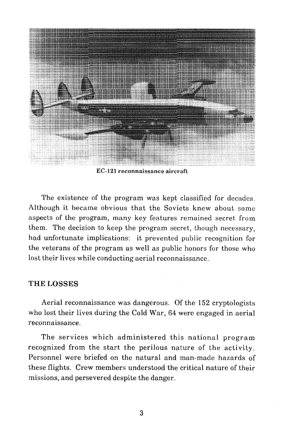

The existence of the program was kept classified for decades. Although it became obvious that the Soviets knew about some aspects of the program, many key features remained secret from them. The decision to keep the program secret, though necessary, had unfortunate implications: it prevented public recognition for the veterans of the program as well as public honors for those who lost their lives while conducting aerial reconnaissance.

## THE LOSSES

Aerial reconnaissance was dangerous. Of the 152 cryptologists who lost their lives during the Cold War, 64 were engaged in aerial reconnaissance.

The services which administered this national program recognized from the start the perilous nature of the activity. Personnel were briefed on the natural and man-made hazards of these flights. Crew members understood the critical nature of their missions, and persevered despite the danger.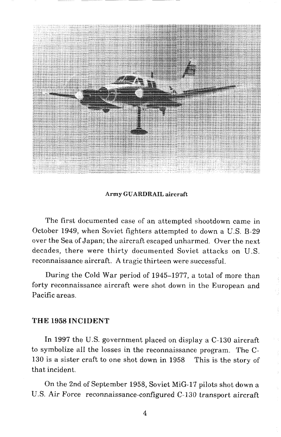

#### Army GUARDRAIL aircraft

The first documented case of an attempted shootdown came in October 1949, when Soviet fighters attempted to down a U.S. B-29 over the Sea of Japan; the aircraft escaped unharmed. Over the next decades, there were thirty documented Soviet attacks on U.S. reconnaissance aircraft. A tragic thirteen were successful.

During the Cold War period of 1945-1977, a total of more than forty reconnaissance aircraft were shot down in the European and Pacific areas.

### THE 1958 INCIDENT

In 1997 the U.S. government placed on display a C-130 aircraft to symbolize all the losses in the reconnaissance program. The C-130 is a sister craft to one shot down in 1958 This is the story of that incident.

On the 2nd of September 1958, Soviet MiG-17 pilots shot down a U.S. Air Force reconnaissance-configured C-130 transport aircraft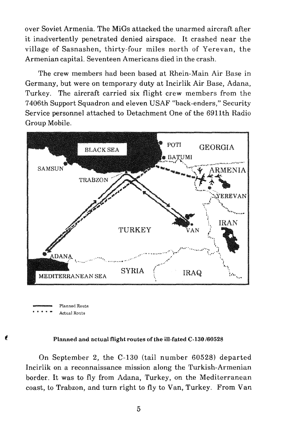over Soviet Armenia. The MiGs attacked the unarmed aircraft after it inadvertently penetrated denied airspace. It crashed near the village of Sasnashen, thirty-four miles north of Yerevan, the Armenian capital. Seventeen Americans died in the crash.

The crew members had been based at Rhein-Main Air Base in Germany, but were on temporary duty at Incirlik Air Base, Adana, Turkey. The aircraft carried six flight crew members from the 7 406th Support Squadron and eleven USAF "back-enders," Security Service personnel attached to Detachment One of the 69llth Radio Group Mobile.



**Planned Route Actual Route** 

#### Planned and actual flight routes of the ill-fated C-130 /60528

On September 2, the C-130 (tail number 60528) departed Incirlik on a reconnaissance mission along the Turkish-Armenian border. It was to fly from Adana, Turkey, on the Mediterranean coast, to Trabzon, and turn right to fly to Van, Turkey. From Van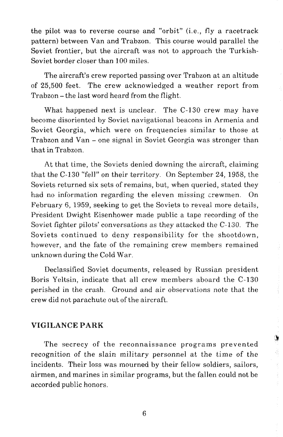the pilot was to reverse course and "orbit" (i.e., fly a racetrack pattern) between Van and Trabzon. This course would parallel the Soviet frontier, but the aircraft was not to approach the Turkish-Soviet border closer than 100 miles.

The aircraft's crew reported passing over Trabzon at an altitude of 25,500 feet. The crew acknowledged a weather report from Trabzon - the last word heard from the flight.

What happened next is unclear. The C-130 crew may have become disoriented by Soviet navigational beacons in Armenia and Soviet Georgia, which were on frequencies similar to those at Trabzon and Van - one signal in Soviet Georgia was stronger than that in Trabzon.

At that time, the Soviets denied downing the aircraft, claiming that the C-130 "fell" on their territory. On September 24, 1958, the Soviets returned six sets of remains, but, when queried, stated they had no information regarding **the** eleven missing crewmen. On February 6, 1959, seeking to get the Soviets to reveal more details, President Dwight Eisenhower made public a tape recording of the Soviet fighter pilots' conversations as they attacked the C-130. The Soviets continued to deny responsibility for the shootdown, however, and the fate of the remaining crew members remained unknown during the Cold War.

Declassified Soviet documents, released by Russian president Boris Yeltsin, indicate that all crew members aboard the C-130 perished in the crash. Ground and air observations note that the crew did not parachute out of the aircraft.

### VIGILANCE PARK

The secrecy of the reconnaissance programs prevented recognition of the slain military personnel at the time of the incidents. Their loss was mourned by their fellow soldiers, sailors, airmen, and marines in similar programs, but the fallen could not be accorded public honors.

۹

6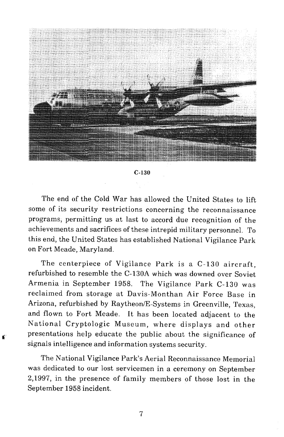

C-130

The end of the Cold War has allowed the United States to lift some of its security restrictions concerning the reconnaissance programs, permitting us at last to accord due recognition of the achievements and sacrifices of these intrepid military personnel. To this end, the United States has established National Vigilance Park on Fort Meade, Maryland.

The centerpiece of Vigilance Park is a C-130 aircraft. refurbished to resemble the C-130A which was downed over Soviet Armenia in September 1958. The Vigilance Park C-130 was reclaimed from storage at Davis-Monthan Air Force Base in Arizona, refurbished by Raytheon/E-Systems in Greenville, Texas, and flown to Fort Meade. It has been located adjacent to the National Cryptologic Museum, where displays and other presentations help educate the public about the significance of signals intelligence and information systems security.

The National Vigilance Park's Aerial Reconnaissance Memorial was dedicated to our lost servicemen in a ceremony on September 2,1997, in the presence of family members of those lost in the September 1958 incident.

7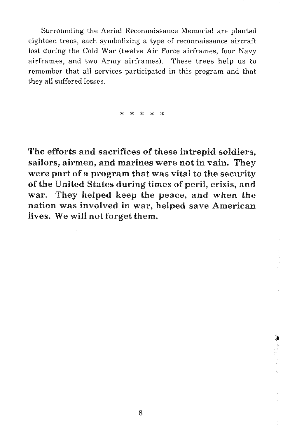Surrounding the Aerial Reconnaissance Memorial are planted eighteen trees, each symbolizing a type of reconnaissance aircraft lost during the Cold War (twelve Air Force airframes, four Navy airframes, and two Army airframes). These trees help us to remember that all services participated in this program and that they all suffered losses.

\* \* \* \* \*

The efforts and sacrifices of these intrepid soldiers, sailors, airmen, and marines were not in vain. They were part of a program that was vital to the security of the United States during times of peril, crisis, and war. They helped keep the peace, and when the nation was involved in war, helped save American lives. We will not forget them.